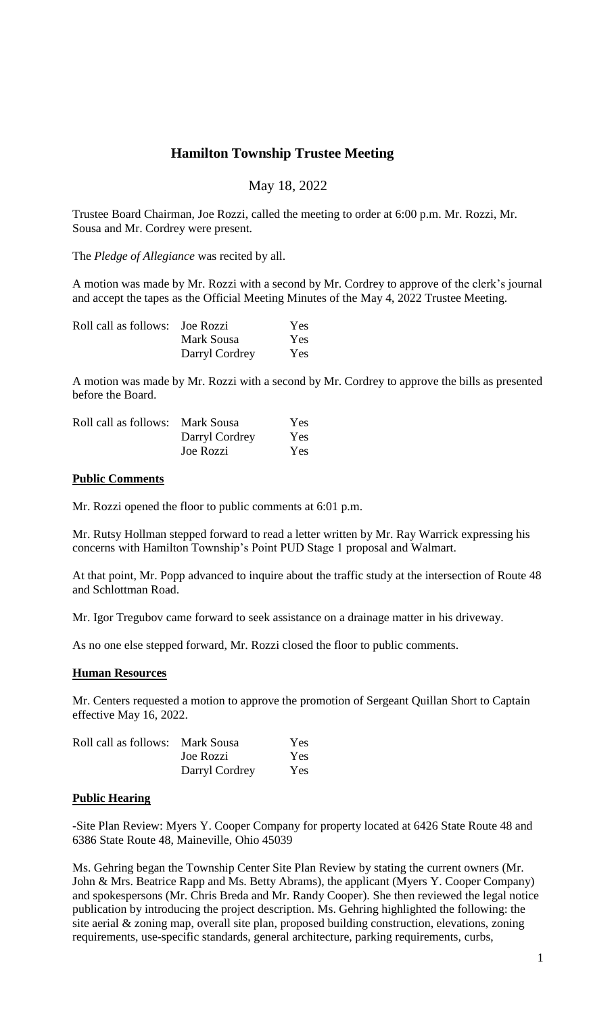# **Hamilton Township Trustee Meeting**

# May 18, 2022

Trustee Board Chairman, Joe Rozzi, called the meeting to order at 6:00 p.m. Mr. Rozzi, Mr. Sousa and Mr. Cordrey were present.

The *Pledge of Allegiance* was recited by all.

A motion was made by Mr. Rozzi with a second by Mr. Cordrey to approve of the clerk's journal and accept the tapes as the Official Meeting Minutes of the May 4, 2022 Trustee Meeting.

| Roll call as follows: Joe Rozzi |                | Yes. |
|---------------------------------|----------------|------|
|                                 | Mark Sousa     | Yes. |
|                                 | Darryl Cordrey | Yes. |

A motion was made by Mr. Rozzi with a second by Mr. Cordrey to approve the bills as presented before the Board.

| Roll call as follows: Mark Sousa |                | Yes.       |
|----------------------------------|----------------|------------|
|                                  | Darryl Cordrey | <b>Yes</b> |
|                                  | Joe Rozzi      | Yes        |

#### **Public Comments**

Mr. Rozzi opened the floor to public comments at 6:01 p.m.

Mr. Rutsy Hollman stepped forward to read a letter written by Mr. Ray Warrick expressing his concerns with Hamilton Township's Point PUD Stage 1 proposal and Walmart.

At that point, Mr. Popp advanced to inquire about the traffic study at the intersection of Route 48 and Schlottman Road.

Mr. Igor Tregubov came forward to seek assistance on a drainage matter in his driveway.

As no one else stepped forward, Mr. Rozzi closed the floor to public comments.

#### **Human Resources**

Mr. Centers requested a motion to approve the promotion of Sergeant Quillan Short to Captain effective May 16, 2022.

| Roll call as follows: Mark Sousa |                | Yes |
|----------------------------------|----------------|-----|
|                                  | Joe Rozzi      | Yes |
|                                  | Darryl Cordrey | Yes |

#### **Public Hearing**

-Site Plan Review: Myers Y. Cooper Company for property located at 6426 State Route 48 and 6386 State Route 48, Maineville, Ohio 45039

Ms. Gehring began the Township Center Site Plan Review by stating the current owners (Mr. John & Mrs. Beatrice Rapp and Ms. Betty Abrams), the applicant (Myers Y. Cooper Company) and spokespersons (Mr. Chris Breda and Mr. Randy Cooper). She then reviewed the legal notice publication by introducing the project description. Ms. Gehring highlighted the following: the site aerial & zoning map, overall site plan, proposed building construction, elevations, zoning requirements, use-specific standards, general architecture, parking requirements, curbs,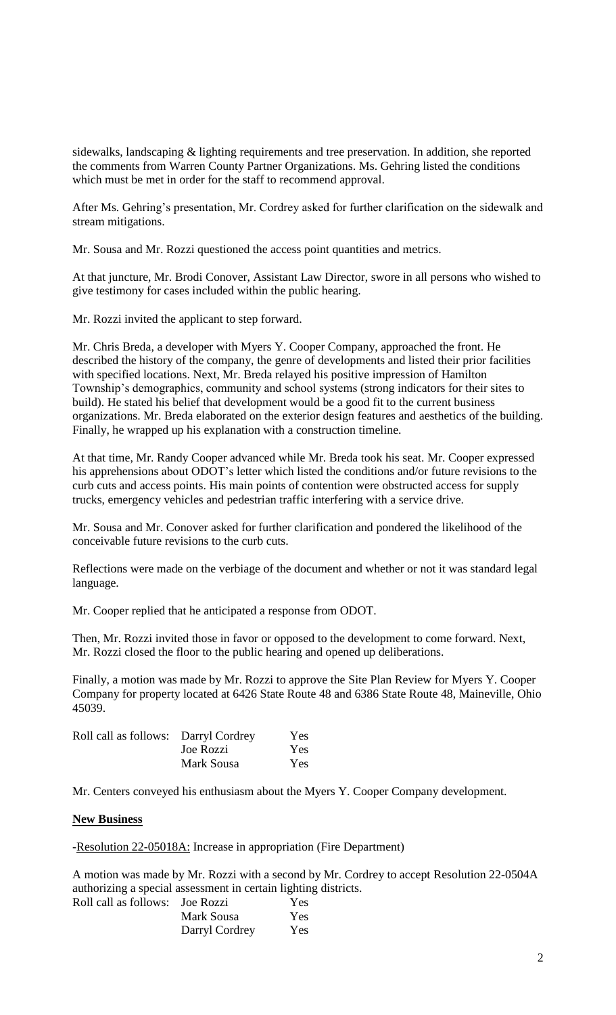sidewalks, landscaping & lighting requirements and tree preservation. In addition, she reported the comments from Warren County Partner Organizations. Ms. Gehring listed the conditions which must be met in order for the staff to recommend approval.

After Ms. Gehring's presentation, Mr. Cordrey asked for further clarification on the sidewalk and stream mitigations.

Mr. Sousa and Mr. Rozzi questioned the access point quantities and metrics.

At that juncture, Mr. Brodi Conover, Assistant Law Director, swore in all persons who wished to give testimony for cases included within the public hearing.

Mr. Rozzi invited the applicant to step forward.

Mr. Chris Breda, a developer with Myers Y. Cooper Company, approached the front. He described the history of the company, the genre of developments and listed their prior facilities with specified locations. Next, Mr. Breda relayed his positive impression of Hamilton Township's demographics, community and school systems (strong indicators for their sites to build). He stated his belief that development would be a good fit to the current business organizations. Mr. Breda elaborated on the exterior design features and aesthetics of the building. Finally, he wrapped up his explanation with a construction timeline.

At that time, Mr. Randy Cooper advanced while Mr. Breda took his seat. Mr. Cooper expressed his apprehensions about ODOT's letter which listed the conditions and/or future revisions to the curb cuts and access points. His main points of contention were obstructed access for supply trucks, emergency vehicles and pedestrian traffic interfering with a service drive.

Mr. Sousa and Mr. Conover asked for further clarification and pondered the likelihood of the conceivable future revisions to the curb cuts.

Reflections were made on the verbiage of the document and whether or not it was standard legal language.

Mr. Cooper replied that he anticipated a response from ODOT.

Then, Mr. Rozzi invited those in favor or opposed to the development to come forward. Next, Mr. Rozzi closed the floor to the public hearing and opened up deliberations.

Finally, a motion was made by Mr. Rozzi to approve the Site Plan Review for Myers Y. Cooper Company for property located at 6426 State Route 48 and 6386 State Route 48, Maineville, Ohio 45039.

| Roll call as follows: Darryl Cordrey |            | <b>Yes</b> |
|--------------------------------------|------------|------------|
|                                      | Joe Rozzi  | <b>Yes</b> |
|                                      | Mark Sousa | Yes        |

Mr. Centers conveyed his enthusiasm about the Myers Y. Cooper Company development.

#### **New Business**

-Resolution 22-05018A: Increase in appropriation (Fire Department)

A motion was made by Mr. Rozzi with a second by Mr. Cordrey to accept Resolution 22-0504A authorizing a special assessment in certain lighting districts. Roll call as follows:

| <b>Joe Rozzi</b> | <b>Yes</b> |
|------------------|------------|
| Mark Sousa       | Yes.       |
| Darryl Cordrey   | <b>Yes</b> |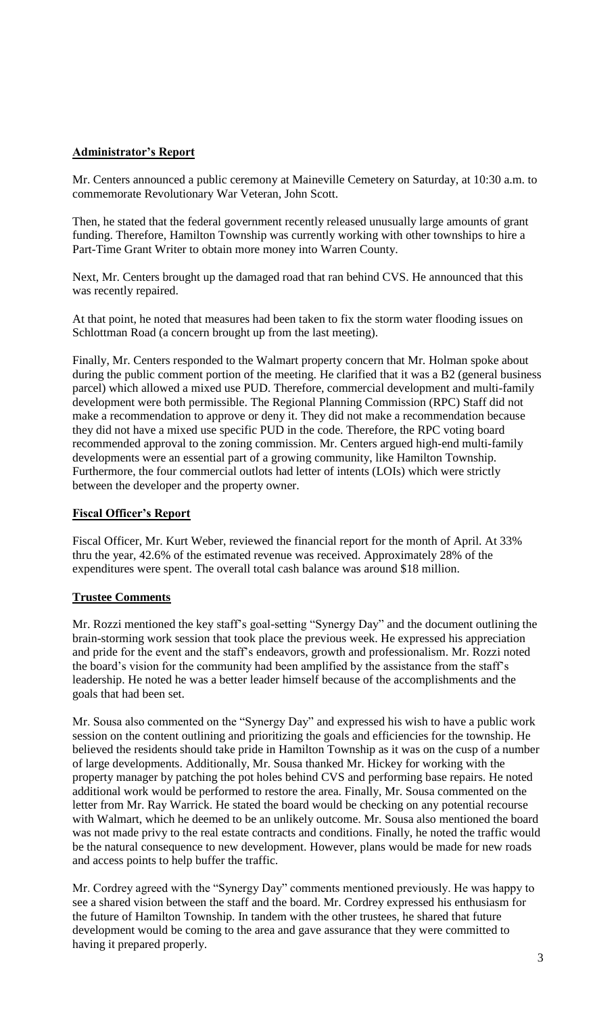### **Administrator's Report**

Mr. Centers announced a public ceremony at Maineville Cemetery on Saturday, at 10:30 a.m. to commemorate Revolutionary War Veteran, John Scott.

Then, he stated that the federal government recently released unusually large amounts of grant funding. Therefore, Hamilton Township was currently working with other townships to hire a Part-Time Grant Writer to obtain more money into Warren County.

Next, Mr. Centers brought up the damaged road that ran behind CVS. He announced that this was recently repaired.

At that point, he noted that measures had been taken to fix the storm water flooding issues on Schlottman Road (a concern brought up from the last meeting).

Finally, Mr. Centers responded to the Walmart property concern that Mr. Holman spoke about during the public comment portion of the meeting. He clarified that it was a B2 (general business parcel) which allowed a mixed use PUD. Therefore, commercial development and multi-family development were both permissible. The Regional Planning Commission (RPC) Staff did not make a recommendation to approve or deny it. They did not make a recommendation because they did not have a mixed use specific PUD in the code. Therefore, the RPC voting board recommended approval to the zoning commission. Mr. Centers argued high-end multi-family developments were an essential part of a growing community, like Hamilton Township. Furthermore, the four commercial outlots had letter of intents (LOIs) which were strictly between the developer and the property owner.

# **Fiscal Officer's Report**

Fiscal Officer, Mr. Kurt Weber, reviewed the financial report for the month of April. At 33% thru the year, 42.6% of the estimated revenue was received. Approximately 28% of the expenditures were spent. The overall total cash balance was around \$18 million.

#### **Trustee Comments**

Mr. Rozzi mentioned the key staff's goal-setting "Synergy Day" and the document outlining the brain-storming work session that took place the previous week. He expressed his appreciation and pride for the event and the staff's endeavors, growth and professionalism. Mr. Rozzi noted the board's vision for the community had been amplified by the assistance from the staff's leadership. He noted he was a better leader himself because of the accomplishments and the goals that had been set.

Mr. Sousa also commented on the "Synergy Day" and expressed his wish to have a public work session on the content outlining and prioritizing the goals and efficiencies for the township. He believed the residents should take pride in Hamilton Township as it was on the cusp of a number of large developments. Additionally, Mr. Sousa thanked Mr. Hickey for working with the property manager by patching the pot holes behind CVS and performing base repairs. He noted additional work would be performed to restore the area. Finally, Mr. Sousa commented on the letter from Mr. Ray Warrick. He stated the board would be checking on any potential recourse with Walmart, which he deemed to be an unlikely outcome. Mr. Sousa also mentioned the board was not made privy to the real estate contracts and conditions. Finally, he noted the traffic would be the natural consequence to new development. However, plans would be made for new roads and access points to help buffer the traffic.

Mr. Cordrey agreed with the "Synergy Day" comments mentioned previously. He was happy to see a shared vision between the staff and the board. Mr. Cordrey expressed his enthusiasm for the future of Hamilton Township. In tandem with the other trustees, he shared that future development would be coming to the area and gave assurance that they were committed to having it prepared properly.